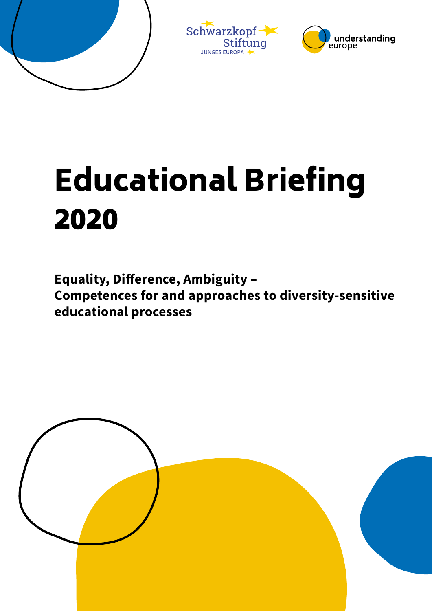





# Educational Briefing 2020

**Equality, Difference, Ambiguity –** 

**Competences for and approaches to diversity-sensitive educational processes**

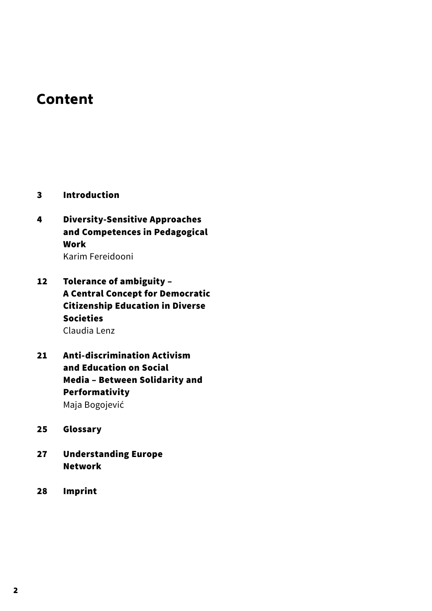# Content

- 3 [Introduction](#page-2-0)
- [4 Diversity-Sensitive Approaches](#page-3-0)  [and Competences in Pedagogical](#page-3-0)  [Work](#page-3-0) [Karim Fereidooni](#page-3-0)
- [12 Tolerance of ambiguity](#page-11-0)  [A Central Concept for Democratic](#page-11-0)  [Citizenship Education in Diverse](#page-11-0)  [Societies](#page-11-0) [Claudia Lenz](#page-11-0)
- 2[1 Anti-discrimination Activism](#page-20-0)  [and Education on Social](#page-20-0)  Media [– Between Solidarity and](#page-20-0)  [Performativity](#page-20-0) [Maja Bogojević](#page-20-0)
- 25 [Glossary](#page-24-0)
- 27 [Understanding Europe](#page-26-0) Network
- 28 [Impri](#page-27-0)nt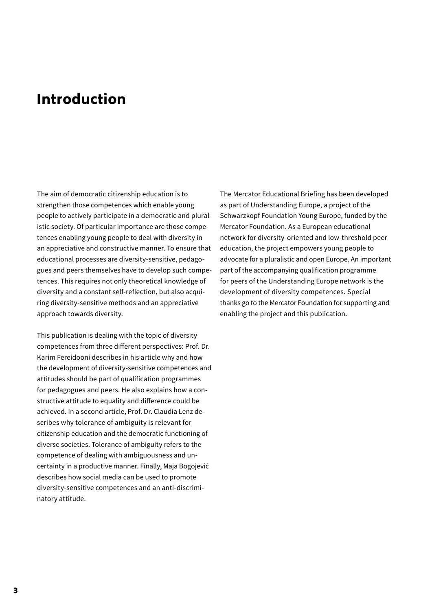# <span id="page-2-0"></span>Introduction

The aim of democratic citizenship education is to strengthen those competences which enable young people to actively participate in a democratic and pluralistic society. Of particular importance are those competences enabling young people to deal with diversity in an appreciative and constructive manner. To ensure that educational processes are diversity-sensitive, pedagogues and peers themselves have to develop such competences. This requires not only theoretical knowledge of diversity and a constant self-reflection, but also acquiring diversity-sensitive methods and an appreciative approach towards diversity.

This publication is dealing with the topic of diversity competences from three different perspectives: Prof. Dr. Karim Fereidooni describes in his article why and how the development of diversity-sensitive competences and attitudes should be part of qualification programmes for pedagogues and peers. He also explains how a constructive attitude to equality and difference could be achieved. In a second article, Prof. Dr. Claudia Lenz describes why tolerance of ambiguity is relevant for citizenship education and the democratic functioning of diverse societies. Tolerance of ambiguity refers to the competence of dealing with ambiguousness and uncertainty in a productive manner. Finally, Maja Bogojević describes how social media can be used to promote diversity-sensitive competences and an anti-discriminatory attitude.

The Mercator Educational Briefing has been developed as part of Understanding Europe, a project of the Schwarzkopf Foundation Young Europe, funded by the Mercator Foundation. As a European educational network for diversity-oriented and low-threshold peer education, the project empowers young people to advocate for a pluralistic and open Europe. An important part of the accompanying qualification programme for peers of the Understanding Europe network is the development of diversity competences. Special thanks go to the Mercator Foundation for supporting and enabling the project and this publication.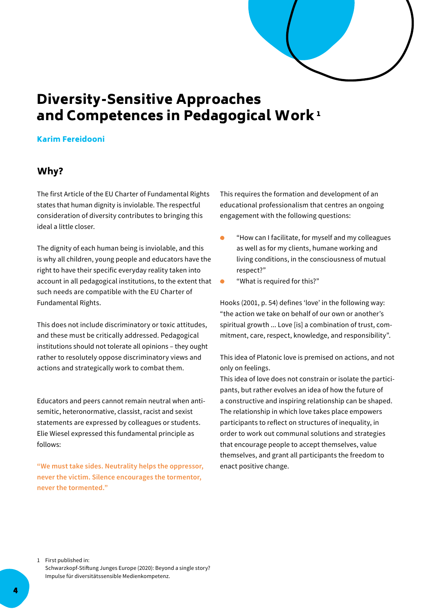

# <span id="page-3-0"></span>Diversity-Sensitive Approaches and Competences in Pedagogical Work<sup>1</sup>

#### Karim Fereidooni

## Why?

The first Article of the EU Charter of Fundamental Rights states that human dignity is inviolable. The respectful consideration of diversity contributes to bringing this ideal a little closer.

The dignity of each human being is inviolable, and this is why all children, young people and educators have the right to have their specific everyday reality taken into account in all pedagogical institutions, to the extent that such needs are compatible with the EU Charter of Fundamental Rights.

This does not include discriminatory or toxic attitudes, and these must be critically addressed. Pedagogical institutions should not tolerate all opinions – they ought rather to resolutely oppose discriminatory views and actions and strategically work to combat them.

Educators and peers cannot remain neutral when antisemitic, heteronormative, classist, racist and sexist statements are expressed by colleagues or students. Elie Wiesel expressed this fundamental principle as follows:

**"We must take sides. Neutrality helps the oppressor, never the victim. Silence encourages the tormentor, never the tormented."**

This requires the formation and development of an educational professionalism that centres an ongoing engagement with the following questions:

- "How can I facilitate, for myself and my colleagues Ä as well as for my clients, humane working and living conditions, in the consciousness of mutual respect?"
- "What is required for this?"

Hooks (2001, p. 54) defines 'love' in the following way: "the action we take on behalf of our own or another's spiritual growth ... Love [is] a combination of trust, commitment, care, respect, knowledge, and responsibility".

This idea of Platonic love is premised on actions, and not only on feelings.

This idea of love does not constrain or isolate the participants, but rather evolves an idea of how the future of a constructive and inspiring relationship can be shaped. The relationship in which love takes place empowers participants to reflect on structures of inequality, in order to work out communal solutions and strategies that encourage people to accept themselves, value themselves, and grant all participants the freedom to enact positive change.

1 First published in: Schwarzkopf-Stiftung Junges Europe (2020): Beyond a single story? Impulse für diversitätssensible Medienkompetenz.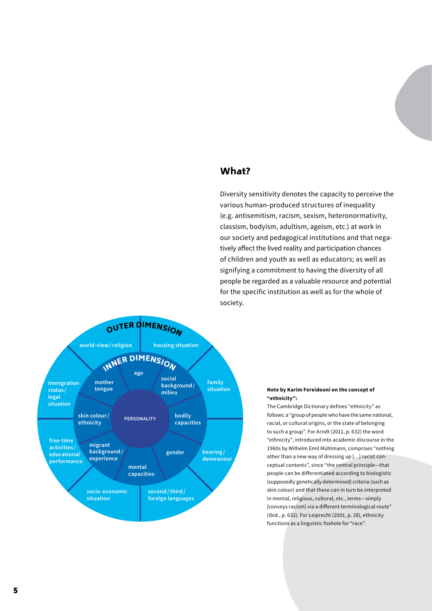## What?

Diversity sensitivity denotes the capacity to perceive the various human-produced structures of inequality (e.g. antisemitism, racism, sexism, heteronormativity, classism, bodyism, adultism, ageism, etc.) at work in our society and pedagogical institutions and that negatively affect the lived reality and participation chances of children and youth as well as educators; as well as signifying a commitment to having the diversity of all people be regarded as a valuable resource and potential for the specific institution as well as for the whole of society.



#### **Note by Karim Fereidooni on the concept of "ethnicity":**

The Cambridge Dictionary defines "ethnicity" as follows: a "group of people who have the same national, racial, or cultural origins, or the state of belonging to such a group". For Arndt (2011, p. 632) the word "ethnicity", introduced into academic discourse in the 1960s by Wilhelm Emil Mühlmann, comprises "nothing other than a new way of dressing up […] racist conceptual contents", since "the central principle—that people can be differentiated according to biologistic (supposedly genetically determined) criteria (such as skin colour) and that these can in turn be interpreted in mental, religious, cultural, etc., terms—simply [conveys racism] via a different terminological route" (ibid., p. 632). For Leiprecht (2001, p. 28), ethnicity functions as a linguistic foxhole for "race".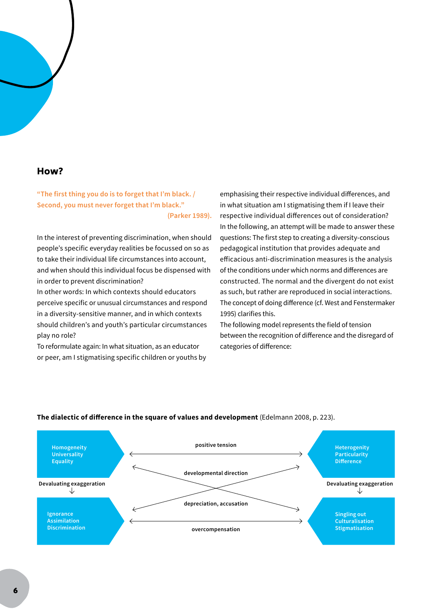#### How?

**"The first thing you do is to forget that I'm black. / Second, you must never forget that I'm black." (Parker 1989).**

In the interest of preventing discrimination, when should people's specific everyday realities be focussed on so as to take their individual life circumstances into account, and when should this individual focus be dispensed with in order to prevent discrimination?

In other words: In which contexts should educators perceive specific or unusual circumstances and respond in a diversity-sensitive manner, and in which contexts should children's and youth's particular circumstances play no role?

To reformulate again: In what situation, as an educator or peer, am I stigmatising specific children or youths by

emphasising their respective individual differences, and in what situation am I stigmatising them if I leave their respective individual differences out of consideration? In the following, an attempt will be made to answer these questions: The first step to creating a diversity-conscious pedagogical institution that provides adequate and efficacious anti-discrimination measures is the analysis of the conditions under which norms and differences are constructed. The normal and the divergent do not exist as such, but rather are reproduced in social interactions. The concept of doing difference (cf. West and Fenstermaker 1995) clarifies this.

The following model represents the field of tension between the recognition of difference and the disregard of categories of difference:



#### **The dialectic of difference in the square of values and development** (Edelmann 2008, p. 223).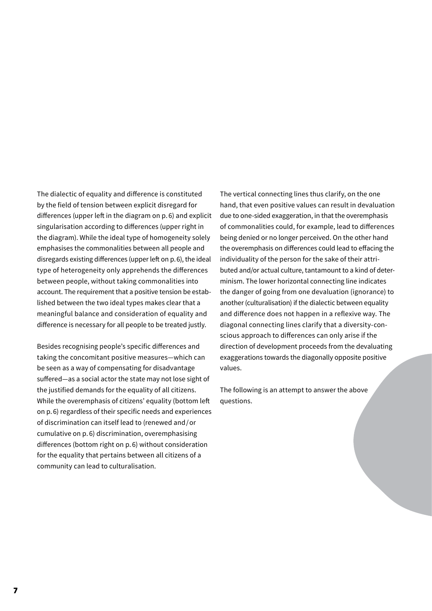The dialectic of equality and difference is constituted by the field of tension between explicit disregard for differences (upper left in the diagram on p. 6) and explicit singularisation according to differences (upper right in the diagram). While the ideal type of homogeneity solely emphasises the commonalities between all people and disregards existing differences (upper left on p.6), the ideal type of heterogeneity only apprehends the differences between people, without taking commonalities into account. The requirement that a positive tension be established between the two ideal types makes clear that a meaningful balance and consideration of equality and difference is necessary for all people to be treated justly.

Besides recognising people's specific differences and taking the concomitant positive measures—which can be seen as a way of compensating for disadvantage suffered—as a social actor the state may not lose sight of the justified demands for the equality of all citizens. While the overemphasis of citizens' equality (bottom left on p. 6) regardless of their specific needs and experiences of discrimination can itself lead to (renewed and/or cumulative on p. 6) discrimination, overemphasising differences (bottom right on p. 6) without consideration for the equality that pertains between all citizens of a community can lead to culturalisation.

The vertical connecting lines thus clarify, on the one hand, that even positive values can result in devaluation due to one-sided exaggeration, in that the overemphasis of commonalities could, for example, lead to differences being denied or no longer perceived. On the other hand the overemphasis on differences could lead to effacing the individuality of the person for the sake of their attributed and/or actual culture, tantamount to a kind of determinism. The lower horizontal connecting line indicates the danger of going from one devaluation (ignorance) to another (culturalisation) if the dialectic between equality and difference does not happen in a reflexive way. The diagonal connecting lines clarify that a diversity-conscious approach to differences can only arise if the direction of development proceeds from the devaluating exaggerations towards the diagonally opposite positive values.

The following is an attempt to answer the above questions.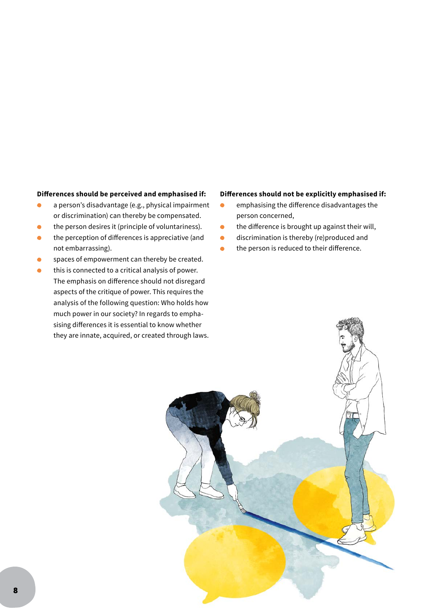#### **Differences should be perceived and emphasised if:**

- a person's disadvantage (e.g., physical impairment  $\bullet$ or discrimination) can thereby be compensated.
- the person desires it (principle of voluntariness).
- the perception of differences is appreciative (and not embarrassing).
- spaces of empowerment can thereby be created.
- this is connected to a critical analysis of power. The emphasis on difference should not disregard aspects of the critique of power. This requires the analysis of the following question: Who holds how much power in our society? In regards to emphasising differences it is essential to know whether they are innate, acquired, or created through laws.

#### **Differences should not be explicitly emphasised if:**

- emphasising the difference disadvantages the person concerned,
- the difference is brought up against their will,
- **discrimination is thereby (re)produced and**
- the person is reduced to their difference.

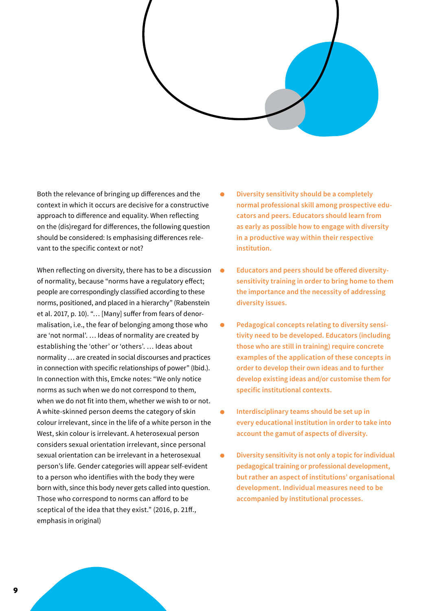

Both the relevance of bringing up differences and the context in which it occurs are decisive for a constructive approach to difference and equality. When reflecting on the (dis)regard for differences, the following question should be considered: Is emphasising differences relevant to the specific context or not?

When reflecting on diversity, there has to be a discussion  $\bullet$ of normality, because "norms have a regulatory effect; people are correspondingly classified according to these norms, positioned, and placed in a hierarchy" (Rabenstein et al. 2017, p. 10). "… [Many] suffer from fears of denormalisation, i.e., the fear of belonging among those who are 'not normal'. … Ideas of normality are created by establishing the 'other' or 'others'. … Ideas about normality … are created in social discourses and practices in connection with specific relationships of power" (Ibid.). In connection with this, Emcke notes: "We only notice norms as such when we do not correspond to them, when we do not fit into them, whether we wish to or not. A white-skinned person deems the category of skin colour irrelevant, since in the life of a white person in the West, skin colour is irrelevant. A heterosexual person considers sexual orientation irrelevant, since personal sexual orientation can be irrelevant in a heterosexual person's life. Gender categories will appear self-evident to a person who identifies with the body they were born with, since this body never gets called into question. Those who correspond to norms can afford to be sceptical of the idea that they exist." (2016, p. 21ff., emphasis in original)

- **Diversity sensitivity should be a completely normal professional skill among prospective educators and peers. Educators should learn from as early as possible how to engage with diversity in a productive way within their respective institution.**
- **Educators and peers should be offered diversitysensitivity training in order to bring home to them the importance and the necessity of addressing diversity issues.**
- **•** Pedagogical concepts relating to diversity sensi**tivity need to be developed. Educators (including those who are still in training) require concrete examples of the application of these concepts in order to develop their own ideas and to further develop existing ideas and/or customise them for specific institutional contexts.**
- **Interdisciplinary teams should be set up in every educational institution in order to take into account the gamut of aspects of diversity.**
- **Diversity sensitivity is not only a topic for individual pedagogical training or professional development, but rather an aspect of institutions' organisational development. Individual measures need to be accompanied by institutional processes.**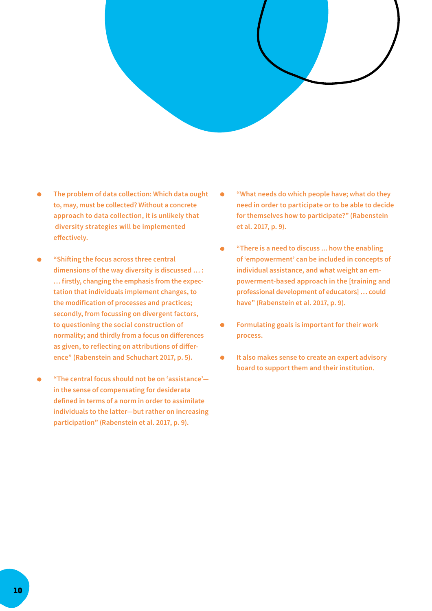

- **The problem of data collection: Which data ought to, may, must be collected? Without a concrete approach to data collection, it is unlikely that diversity strategies will be implemented effectively.**
- **"Shifting the focus across three central dimensions of the way diversity is discussed … : … firstly, changing the emphasis from the expectation that individuals implement changes, to the modification of processes and practices; secondly, from focussing on divergent factors, to questioning the social construction of normality; and thirdly from a focus on differences as given, to reflecting on attributions of difference" (Rabenstein and Schuchart 2017, p. 5).**
- **"The central focus should not be on 'assistance' in the sense of compensating for desiderata defined in terms of a norm in order to assimilate individuals to the latter—but rather on increasing participation" (Rabenstein et al. 2017, p. 9).**
- **"What needs do which people have; what do they**   $\bullet$ **need in order to participate or to be able to decide for themselves how to participate?" (Rabenstein et al. 2017, p. 9).**
- **"There is a need to discuss ... how the enabling of 'empowerment' can be included in concepts of individual assistance, and what weight an empowerment-based approach in the [training and professional development of educators] … could have" (Rabenstein et al. 2017, p. 9).**
- **Formulating goals is important for their work process.**
- **It also makes sense to create an expert advisory board to support them and their institution.**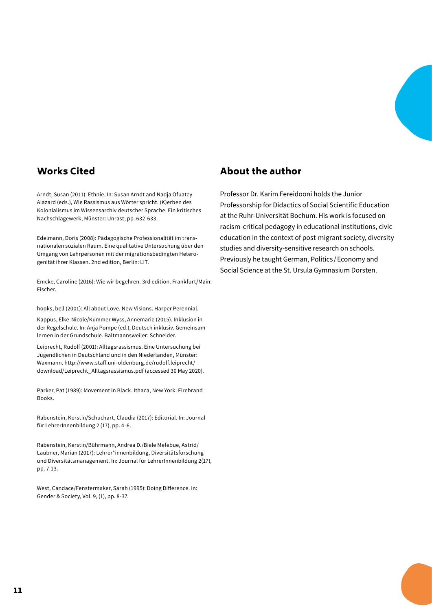## Works Cited

Arndt, Susan (2011): Ethnie. In: Susan Arndt and Nadja Ofuatey-Alazard (eds.), Wie Rassismus aus Wörter spricht. (K)erben des Kolonialismus im Wissensarchiv deutscher Sprache. Ein kritisches Nachschlagewerk, Münster: Unrast, pp. 632-633.

Edelmann, Doris (2008): Pädagogische Professionalität im transnationalen sozialen Raum. Eine qualitative Untersuchung über den Umgang von Lehrpersonen mit der migrationsbedingten Heterogenität ihrer Klassen. 2nd edition, Berlin: LIT.

Emcke, Caroline (2016): Wie wir begehren. 3rd edition. Frankfurt/Main: Fischer.

hooks, bell (2001): All about Love. New Visions. Harper Perennial.

Kappus, Elke-Nicole/Kummer Wyss, Annemarie (2015). Inklusion in der Regelschule. In: Anja Pompe (ed.), Deutsch inklusiv. Gemeinsam lernen in der Grundschule. Baltmannsweiler: Schneider.

Leiprecht, Rudolf (2001): Alltagsrassismus. Eine Untersuchung bei Jugendlichen in Deutschland und in den Niederlanden, Münster: Waxmann. http://www.staff.uni-oldenburg.de/rudolf.leiprecht/ download/Leiprecht\_Alltagsrassismus.pdf (accessed 30 May 2020).

Parker, Pat (1989): Movement in Black. Ithaca, New York: Firebrand Books.

Rabenstein, Kerstin/Schuchart, Claudia (2017): Editorial. In: Journal für LehrerInnenbildung 2 (17), pp. 4-6.

Rabenstein, Kerstin/Bührmann, Andrea D./Biele Mefebue, Astrid/ Laubner, Marian (2017): Lehrer\*innenbildung, Diversitätsforschung und Diversitätsmanagement. In: Journal für LehrerInnenbildung 2(17), pp. 7-13.

West, Candace/Fenstermaker, Sarah (1995): Doing Difference. In: Gender & Society, Vol. 9, (1), pp. 8-37.

## About the author

Professor Dr. Karim Fereidooni holds the Junior Professorship for Didactics of Social Scientific Education at the Ruhr-Universität Bochum. His work is focused on racism-critical pedagogy in educational institutions, civic education in the context of post-migrant society, diversity studies and diversity-sensitive research on schools. Previously he taught German, Politics /Economy and Social Science at the St. Ursula Gymnasium Dorsten.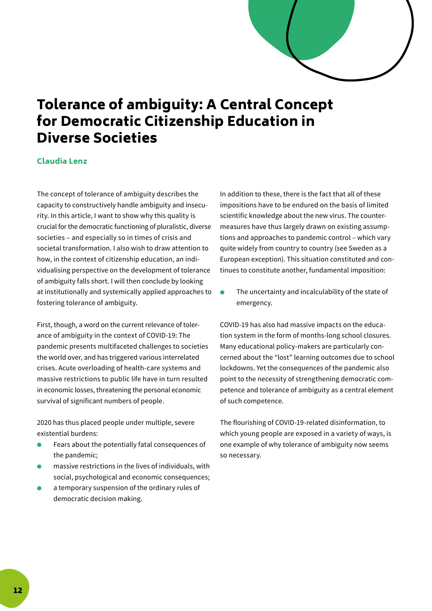

# <span id="page-11-0"></span>Tolerance of ambiguity: A Central Concept for Democratic Citizenship Education in Diverse Societies

#### Claudia Lenz

The concept of tolerance of ambiguity describes the capacity to constructively handle ambiguity and insecurity. In this article, I want to show why this quality is crucial for the democratic functioning of pluralistic, diverse societies – and especially so in times of crisis and societal transformation. I also wish to draw attention to how, in the context of citizenship education, an individualising perspective on the development of tolerance of ambiguity falls short. I will then conclude by looking at institutionally and systemically applied approaches to fostering tolerance of ambiguity.

First, though, a word on the current relevance of tolerance of ambiguity in the context of COVID-19: The pandemic presents multifaceted challenges to societies the world over, and has triggered various interrelated crises. Acute overloading of health-care systems and massive restrictions to public life have in turn resulted in economic losses, threatening the personal economic survival of significant numbers of people.

2020 has thus placed people under multiple, severe existential burdens:

- Fears about the potentially fatal consequences of the pandemic;
- massive restrictions in the lives of individuals, with social, psychological and economic consequences;
- a temporary suspension of the ordinary rules of democratic decision making.

In addition to these, there is the fact that all of these impositions have to be endured on the basis of limited scientific knowledge about the new virus. The countermeasures have thus largely drawn on existing assumptions and approaches to pandemic control – which vary quite widely from country to country (see Sweden as a European exception). This situation constituted and continues to constitute another, fundamental imposition:

 The uncertainty and incalculability of the state of emergency.

COVID-19 has also had massive impacts on the education system in the form of months-long school closures. Many educational policy-makers are particularly concerned about the "lost" learning outcomes due to school lockdowns. Yet the consequences of the pandemic also point to the necessity of strengthening democratic competence and tolerance of ambiguity as a central element of such competence.

The flourishing of COVID-19-related disinformation, to which young people are exposed in a variety of ways, is one example of why tolerance of ambiguity now seems so necessary.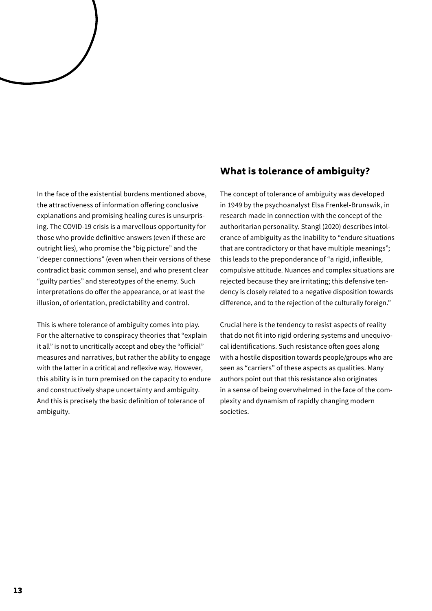In the face of the existential burdens mentioned above, the attractiveness of information offering conclusive explanations and promising healing cures is unsurprising. The COVID-19 crisis is a marvellous opportunity for those who provide definitive answers (even if these are outright lies), who promise the "big picture" and the "deeper connections" (even when their versions of these contradict basic common sense), and who present clear "guilty parties" and stereotypes of the enemy. Such interpretations do offer the appearance, or at least the illusion, of orientation, predictability and control.

This is where tolerance of ambiguity comes into play. For the alternative to conspiracy theories that "explain it all" is not to uncritically accept and obey the "official" measures and narratives, but rather the ability to engage with the latter in a critical and reflexive way. However, this ability is in turn premised on the capacity to endure and constructively shape uncertainty and ambiguity. And this is precisely the basic definition of tolerance of ambiguity.

## What is tolerance of ambiguity?

The concept of tolerance of ambiguity was developed in 1949 by the psychoanalyst Elsa Frenkel-Brunswik, in research made in connection with the concept of the authoritarian personality. Stangl (2020) describes intolerance of ambiguity as the inability to "endure situations that are contradictory or that have multiple meanings"; this leads to the preponderance of "a rigid, inflexible, compulsive attitude. Nuances and complex situations are rejected because they are irritating; this defensive tendency is closely related to a negative disposition towards difference, and to the rejection of the culturally foreign."

Crucial here is the tendency to resist aspects of reality that do not fit into rigid ordering systems and unequivocal identifications. Such resistance often goes along with a hostile disposition towards people/groups who are seen as "carriers" of these aspects as qualities. Many authors point out that this resistance also originates in a sense of being overwhelmed in the face of the complexity and dynamism of rapidly changing modern societies.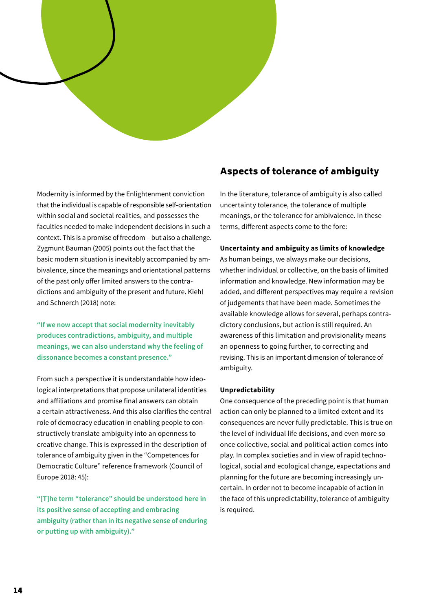

Modernity is informed by the Enlightenment conviction that the individual is capable of responsible self-orientation within social and societal realities, and possesses the faculties needed to make independent decisions in such a context. This is a promise of freedom – but also a challenge. Zygmunt Bauman (2005) points out the fact that the basic modern situation is inevitably accompanied by ambivalence, since the meanings and orientational patterns of the past only offer limited answers to the contradictions and ambiguity of the present and future. Kiehl and Schnerch (2018) note:

**"If we now accept that social modernity inevitably produces contradictions, ambiguity, and multiple meanings, we can also understand why the feeling of dissonance becomes a constant presence."**

From such a perspective it is understandable how ideological interpretations that propose unilateral identities and affiliations and promise final answers can obtain a certain attractiveness. And this also clarifies the central role of democracy education in enabling people to constructively translate ambiguity into an openness to creative change. This is expressed in the description of tolerance of ambiguity given in the "Competences for Democratic Culture" reference framework (Council of Europe 2018: 45):

**"[T]he term "tolerance" should be understood here in its positive sense of accepting and embracing ambiguity (rather than in its negative sense of enduring or putting up with ambiguity)."**

## Aspects of tolerance of ambiguity

In the literature, tolerance of ambiguity is also called uncertainty tolerance, the tolerance of multiple meanings, or the tolerance for ambivalence. In these terms, different aspects come to the fore:

#### **Uncertainty and ambiguity as limits of knowledge**

As human beings, we always make our decisions, whether individual or collective, on the basis of limited information and knowledge. New information may be added, and different perspectives may require a revision of judgements that have been made. Sometimes the available knowledge allows for several, perhaps contradictory conclusions, but action is still required. An awareness of this limitation and provisionality means an openness to going further, to correcting and revising. This is an important dimension of tolerance of ambiguity.

#### **Unpredictability**

One consequence of the preceding point is that human action can only be planned to a limited extent and its consequences are never fully predictable. This is true on the level of individual life decisions, and even more so once collective, social and political action comes into play. In complex societies and in view of rapid technological, social and ecological change, expectations and planning for the future are becoming increasingly uncertain. In order not to become incapable of action in the face of this unpredictability, tolerance of ambiguity is required.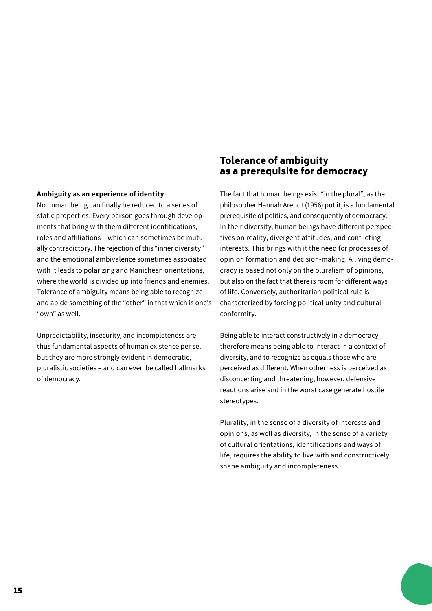#### **Ambiguity as an experience of identity**

No human being can finally be reduced to a series of static properties. Every person goes through developments that bring with them different identifications, roles and affiliations – which can sometimes be mutually contradictory. The rejection of this "inner diversity" and the emotional ambivalence sometimes associated with it leads to polarizing and Manichean orientations, where the world is divided up into friends and enemies. Tolerance of ambiguity means being able to recognize and abide something of the "other" in that which is one's "own" as well.

Unpredictability, insecurity, and incompleteness are thus fundamental aspects of human existence per se, but they are more strongly evident in democratic, pluralistic societies – and can even be called hallmarks of democracy.

## Tolerance of ambiguity as a prerequisite for democracy

The fact that human beings exist "in the plural", as the philosopher Hannah Arendt (1956) put it, is a fundamental prerequisite of politics, and consequently of democracy. In their diversity, human beings have different perspectives on reality, divergent attitudes, and conflicting interests. This brings with it the need for processes of opinion formation and decision-making. A living democracy is based not only on the pluralism of opinions, but also on the fact that there is room for different ways of life. Conversely, authoritarian political rule is characterized by forcing political unity and cultural conformity.

Being able to interact constructively in a democracy therefore means being able to interact in a context of diversity, and to recognize as equals those who are perceived as different. When otherness is perceived as disconcerting and threatening, however, defensive reactions arise and in the worst case generate hostile stereotypes.

Plurality, in the sense of a diversity of interests and opinions, as well as diversity, in the sense of a variety of cultural orientations, identifications and ways of life, requires the ability to live with and constructively shape ambiguity and incompleteness.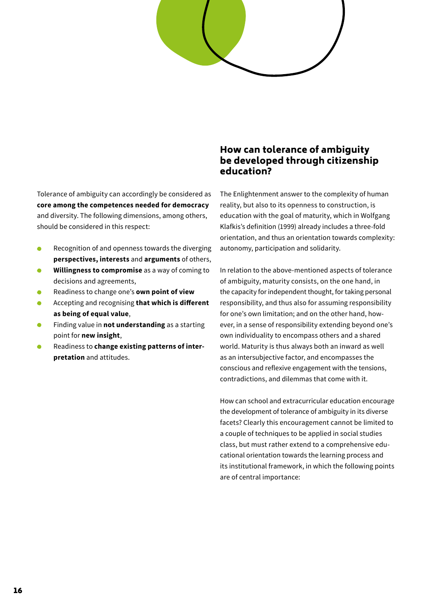

Tolerance of ambiguity can accordingly be considered as **core among the competences needed for democracy** and diversity. The following dimensions, among others, should be considered in this respect:

- Recognition of and openness towards the diverging **perspectives, interests** and **arguments** of others,
- **Willingness to compromise** as a way of coming to decisions and agreements,
- Readiness to change one's **own point of view**
- Accepting and recognising **that which is different as being of equal value**,
- Finding value in **not understanding** as a starting point for **new insight**,
- Readiness to **change existing patterns of interpretation** and attitudes.

## How can tolerance of ambiguity be developed through citizenship education?

The Enlightenment answer to the complexity of human reality, but also to its openness to construction, is education with the goal of maturity, which in Wolfgang Klafkis's definition (1999) already includes a three-fold orientation, and thus an orientation towards complexity: autonomy, participation and solidarity.

In relation to the above-mentioned aspects of tolerance of ambiguity, maturity consists, on the one hand, in the capacity for independent thought, for taking personal responsibility, and thus also for assuming responsibility for one's own limitation; and on the other hand, however, in a sense of responsibility extending beyond one's own individuality to encompass others and a shared world. Maturity is thus always both an inward as well as an intersubjective factor, and encompasses the conscious and reflexive engagement with the tensions, contradictions, and dilemmas that come with it.

How can school and extracurricular education encourage the development of tolerance of ambiguity in its diverse facets? Clearly this encouragement cannot be limited to a couple of techniques to be applied in social studies class, but must rather extend to a comprehensive educational orientation towards the learning process and its institutional framework, in which the following points are of central importance: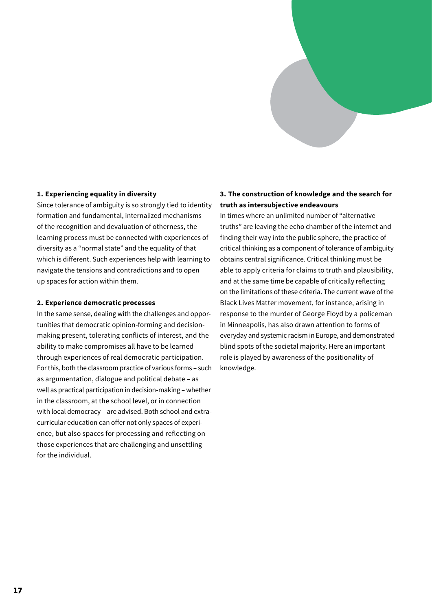#### **1. Experiencing equality in diversity**

Since tolerance of ambiguity is so strongly tied to identity formation and fundamental, internalized mechanisms of the recognition and devaluation of otherness, the learning process must be connected with experiences of diversity as a "normal state" and the equality of that which is different. Such experiences help with learning to navigate the tensions and contradictions and to open up spaces for action within them.

#### **2. Experience democratic processes**

In the same sense, dealing with the challenges and opportunities that democratic opinion-forming and decision-making present, tolerating conflicts of interest, and the ability to make compromises all have to be learned through experiences of real democratic participation. For this, both the classroom practice of various forms – such as argumentation, dialogue and political debate – as well as practical participation in decision-making – whether in the classroom, at the school level, or in connection with local democracy – are advised. Both school and extracurricular education can offer not only spaces of experience, but also spaces for processing and reflecting on those experiences that are challenging and unsettling for the individual.

#### **3. The construction of knowledge and the search for truth as intersubjective endeavours**

In times where an unlimited number of "alternative truths" are leaving the echo chamber of the internet and finding their way into the public sphere, the practice of critical thinking as a component of tolerance of ambiguity obtains central significance. Critical thinking must be able to apply criteria for claims to truth and plausibility, and at the same time be capable of critically reflecting on the limitations of these criteria. The current wave of the Black Lives Matter movement, for instance, arising in response to the murder of George Floyd by a policeman in Minneapolis, has also drawn attention to forms of everyday and systemic racism in Europe, and demonstrated blind spots of the societal majority. Here an important role is played by awareness of the positionality of knowledge.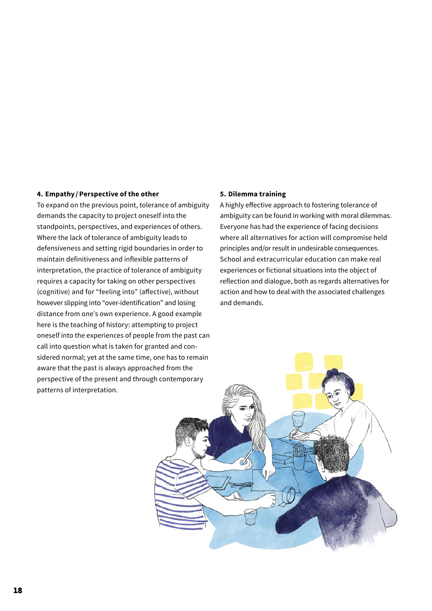#### **4. Empathy /Perspective of the other**

To expand on the previous point, tolerance of ambiguity demands the capacity to project oneself into the standpoints, perspectives, and experiences of others. Where the lack of tolerance of ambiguity leads to defensiveness and setting rigid boundaries in order to maintain definitiveness and inflexible patterns of interpretation, the practice of tolerance of ambiguity requires a capacity for taking on other perspectives (cognitive) and for "feeling into" (affective), without however slipping into "over-identification" and losing distance from one's own experience. A good example here is the teaching of history: attempting to project oneself into the experiences of people from the past can call into question what is taken for granted and considered normal; yet at the same time, one has to remain aware that the past is always approached from the perspective of the present and through contemporary patterns of interpretation.

#### **5. Dilemma training**

A highly effective approach to fostering tolerance of ambiguity can be found in working with moral dilemmas. Everyone has had the experience of facing decisions where all alternatives for action will compromise held principles and/or result in undesirable consequences. School and extracurricular education can make real experiences or fictional situations into the object of reflection and dialogue, both as regards alternatives for action and how to deal with the associated challenges and demands.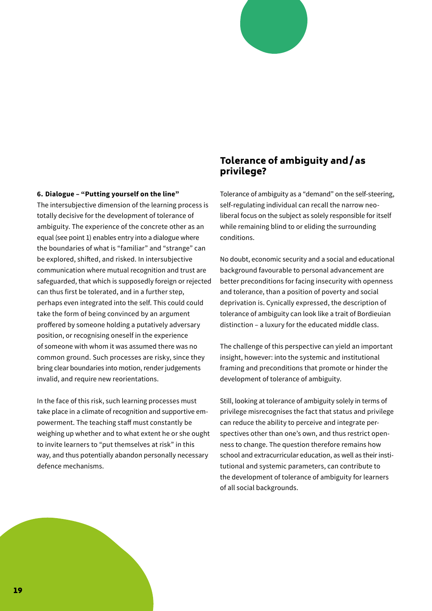#### **6. Dialogue – "Putting yourself on the line"**

The intersubjective dimension of the learning process is totally decisive for the development of tolerance of ambiguity. The experience of the concrete other as an equal (see point 1) enables entry into a dialogue where the boundaries of what is "familiar" and "strange" can be explored, shifted, and risked. In intersubjective communication where mutual recognition and trust are safeguarded, that which is supposedly foreign or rejected can thus first be tolerated, and in a further step, perhaps even integrated into the self. This could could take the form of being convinced by an argument proffered by someone holding a putatively adversary position, or recognising oneself in the experience of someone with whom it was assumed there was no common ground. Such processes are risky, since they bring clear boundaries into motion, render judgements invalid, and require new reorientations.

In the face of this risk, such learning processes must take place in a climate of recognition and supportive empowerment. The teaching staff must constantly be weighing up whether and to what extent he or she ought to invite learners to "put themselves at risk" in this way, and thus potentially abandon personally necessary defence mechanisms.

## Tolerance of ambiguity and/ as privilege?

Tolerance of ambiguity as a "demand" on the self-steering, self-regulating individual can recall the narrow neoliberal focus on the subject as solely responsible for itself while remaining blind to or eliding the surrounding conditions.

No doubt, economic security and a social and educational background favourable to personal advancement are better preconditions for facing insecurity with openness and tolerance, than a position of poverty and social deprivation is. Cynically expressed, the description of tolerance of ambiguity can look like a trait of Bordieuian distinction – a luxury for the educated middle class.

The challenge of this perspective can yield an important insight, however: into the systemic and institutional framing and preconditions that promote or hinder the development of tolerance of ambiguity.

Still, looking at tolerance of ambiguity solely in terms of privilege misrecognises the fact that status and privilege can reduce the ability to perceive and integrate perspectives other than one's own, and thus restrict openness to change. The question therefore remains how school and extracurricular education, as well as their institutional and systemic parameters, can contribute to the development of tolerance of ambiguity for learners of all social backgrounds.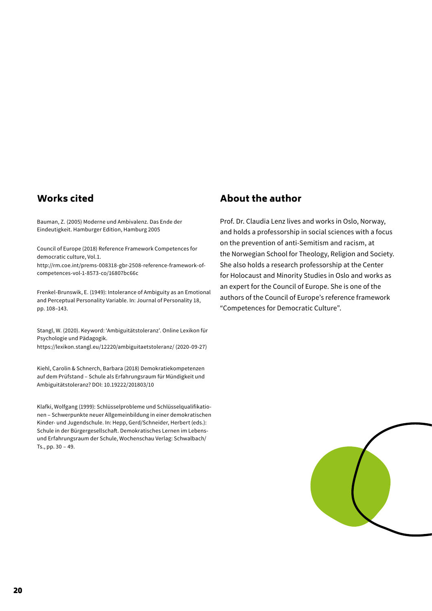## Works cited

Bauman, Z. (2005) Moderne und Ambivalenz. Das Ende der Eindeutigkeit. Hamburger Edition, Hamburg 2005

Council of Europe (2018) Reference Framework Competences for democratic culture, Vol.1.

http://rm.coe.int/prems-008318-gbr-2508-reference-framework-ofcompetences-vol-1-8573-co/16807bc66c

Frenkel-Brunswik, E. (1949): Intolerance of Ambiguity as an Emotional and Perceptual Personality Variable. In: Journal of Personality 18, pp. 108–143.

Stangl, W. (2020). Keyword: 'Ambiguitätstoleranz'. Online Lexikon für Psychologie und Pädagogik. https://lexikon.stangl.eu/12220/ambiguitaetstoleranz/ (2020-09-27)

Kiehl, Carolin & Schnerch, Barbara (2018) Demokratiekompetenzen auf dem Prüfstand – Schule als Erfahrungsraum für Mündigkeit und Ambiguitätstoleranz? DOI: 10.19222/201803/10

Klafki, Wolfgang (1999): Schlüsselprobleme und Schlüsselqualifikationen – Schwerpunkte neuer Allgemeinbildung in einer demokratischen Kinder- und Jugendschule. In: Hepp, Gerd/Schneider, Herbert (eds.): Schule in der Bürgergesellschaft. Demokratisches Lernen im Lebensund Erfahrungsraum der Schule, Wochenschau Verlag: Schwalbach/ Ts., pp. 30 – 49.

## About the author

Prof. Dr. Claudia Lenz lives and works in Oslo, Norway, and holds a professorship in social sciences with a focus on the prevention of anti-Semitism and racism, at the Norwegian School for Theology, Religion and Society. She also holds a research professorship at the Center for Holocaust and Minority Studies in Oslo and works as an expert for the Council of Europe. She is one of the authors of the Council of Europe's reference framework "Competences for Democratic Culture".

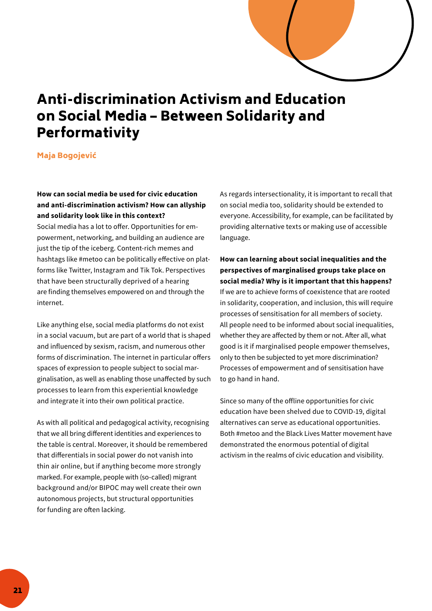

# <span id="page-20-0"></span>Anti-discrimination Activism and Education on Social Media – Between Solidarity and Performativity

#### Maja Bogojević

#### **How can social media be used for civic education and anti-discrimination activism? How can allyship and solidarity look like in this context?**

Social media has a lot to offer. Opportunities for empowerment, networking, and building an audience are just the tip of the iceberg. Content-rich memes and hashtags like #metoo can be politically effective on platforms like Twitter, Instagram and Tik Tok. Perspectives that have been structurally deprived of a hearing are finding themselves empowered on and through the internet.

Like anything else, social media platforms do not exist in a social vacuum, but are part of a world that is shaped and influenced by sexism, racism, and numerous other forms of discrimination. The internet in particular offers spaces of expression to people subject to social marginalisation, as well as enabling those unaffected by such processes to learn from this experiential knowledge and integrate it into their own political practice.

As with all political and pedagogical activity, recognising that we all bring different identities and experiences to the table is central. Moreover, it should be remembered that differentials in social power do not vanish into thin air online, but if anything become more strongly marked. For example, people with (so-called) migrant background and/or BIPOC may well create their own autonomous projects, but structural opportunities for funding are often lacking.

As regards intersectionality, it is important to recall that on social media too, solidarity should be extended to everyone. Accessibility, for example, can be facilitated by providing alternative texts or making use of accessible language.

**How can learning about social inequalities and the perspectives of marginalised groups take place on social media? Why is it important that this happens?** If we are to achieve forms of coexistence that are rooted in solidarity, cooperation, and inclusion, this will require processes of sensitisation for all members of society. All people need to be informed about social inequalities, whether they are affected by them or not. After all, what good is it if marginalised people empower themselves, only to then be subjected to yet more discrimination? Processes of empowerment and of sensitisation have to go hand in hand.

Since so many of the offline opportunities for civic education have been shelved due to COVID-19, digital alternatives can serve as educational opportunities. Both #metoo and the Black Lives Matter movement have demonstrated the enormous potential of digital activism in the realms of civic education and visibility.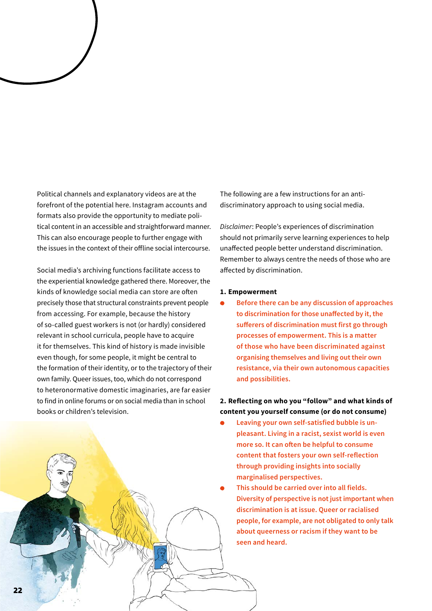Political channels and explanatory videos are at the forefront of the potential here. Instagram accounts and formats also provide the opportunity to mediate political content in an accessible and straightforward manner. This can also encourage people to further engage with the issues in the context of their offline social intercourse.

Social media's archiving functions facilitate access to the experiential knowledge gathered there. Moreover, the kinds of knowledge social media can store are often precisely those that structural constraints prevent people from accessing. For example, because the history of so-called guest workers is not (or hardly) considered relevant in school curricula, people have to acquire it for themselves. This kind of history is made invisible even though, for some people, it might be central to the formation of their identity, or to the trajectory of their own family. Queer issues, too, which do not correspond to heteronormative domestic imaginaries, are far easier to find in online forums or on social media than in school books or children's television.

The following are a few instructions for an antidiscriminatory approach to using social media.

*Disclaimer*: People's experiences of discrimination should not primarily serve learning experiences to help unaffected people better understand discrimination. Remember to always centre the needs of those who are affected by discrimination.

#### **1. Empowerment**

 **Before there can be any discussion of approaches to discrimination for those unaffected by it, the sufferers of discrimination must first go through processes of empowerment. This is a matter of those who have been discriminated against organising themselves and living out their own resistance, via their own autonomous capacities and possibilities.**

#### **2. Reflecting on who you "follow" and what kinds of content you yourself consume (or do not consume)**

- **Leaving your own self-satisfied bubble is unpleasant. Living in a racist, sexist world is even more so. It can often be helpful to consume content that fosters your own self-reflection through providing insights into socially marginalised perspectives.**
- **This should be carried over into all fields. Diversity of perspective is not just important when discrimination is at issue. Queer or racialised people, for example, are not obligated to only talk about queerness or racism if they want to be seen and heard.**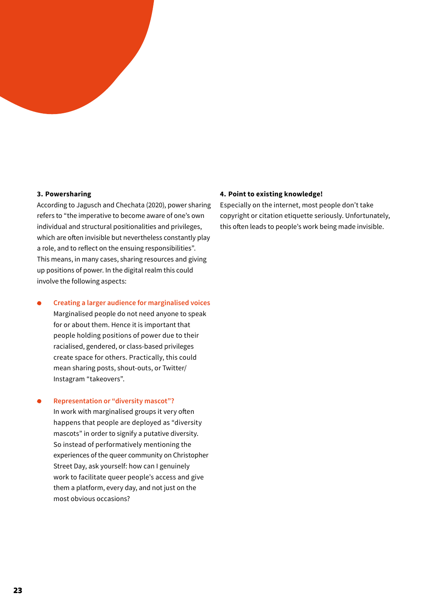#### **3. Powersharing**

According to Jagusch and Chechata (2020), power sharing refers to "the imperative to become aware of one's own individual and structural positionalities and privileges, which are often invisible but nevertheless constantly play a role, and to reflect on the ensuing responsibilities". This means, in many cases, sharing resources and giving up positions of power. In the digital realm this could involve the following aspects:

 **Creating a larger audience for marginalised voices** Marginalised people do not need anyone to speak for or about them. Hence it is important that people holding positions of power due to their racialised, gendered, or class-based privileges create space for others. Practically, this could mean sharing posts, shout-outs, or Twitter/ Instagram "takeovers".

#### **Representation or "diversity mascot"?**

In work with marginalised groups it very often happens that people are deployed as "diversity mascots" in order to signify a putative diversity. So instead of performatively mentioning the experiences of the queer community on Christopher Street Day, ask yourself: how can I genuinely work to facilitate queer people's access and give them a platform, every day, and not just on the most obvious occasions?

#### **4. Point to existing knowledge!**

Especially on the internet, most people don't take copyright or citation etiquette seriously. Unfortunately, this often leads to people's work being made invisible.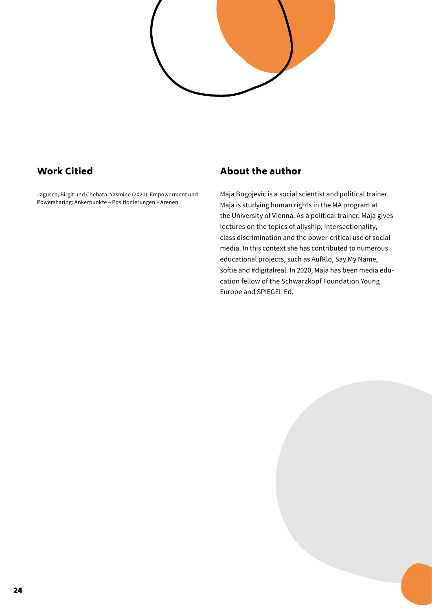

## Work Citied

Jagusch, Birgit und Chehata, Yasmine (2020): Empowerment und Powersharing: Ankerpunkte – Positionierungen – Arenen

## About the author

Maja Bogojević is a social scientist and political trainer. Maja is studying human rights in the MA program at the University of Vienna. As a political trainer, Maja gives lectures on the topics of allyship, intersectionality, class discrimination and the power-critical use of social media. In this context she has contributed to numerous educational projects, such as AufKlo, Say My Name, softie and #digitalreal. In 2020, Maja has been media education fellow of the Schwarzkopf Foundation Young Europe and SPIEGEL Ed.

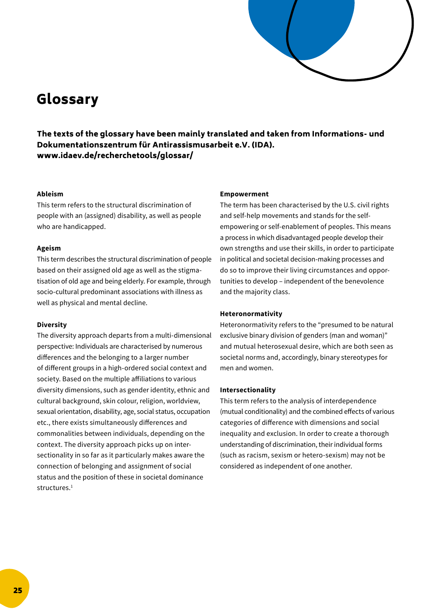

# <span id="page-24-0"></span>Glossary

The texts of the glossary have been mainly translated and taken from Informations- und Dokumentationszentrum für Antirassismusarbeit e.V. (IDA). www.idaev.de/recherchetools/glossar/

#### **Ableism**

This term refers to the structural discrimination of people with an (assigned) disability, as well as people who are handicapped.

#### **Ageism**

This term describes the structural discrimination of people based on their assigned old age as well as the stigmatisation of old age and being elderly. For example, through socio-cultural predominant associations with illness as well as physical and mental decline.

#### **Diversity**

The diversity approach departs from a multi-dimensional perspective: Individuals are characterised by numerous differences and the belonging to a larger number of different groups in a high-ordered social context and society. Based on the multiple affiliations to various diversity dimensions, such as gender identity, ethnic and cultural background, skin colour, religion, worldview, sexual orientation, disability, age, social status, occupation etc., there exists simultaneously differences and commonalities between individuals, depending on the context. The diversity approach picks up on intersectionality in so far as it particularly makes aware the connection of belonging and assignment of social status and the position of these in societal dominance structures.<sup>1</sup>

#### **Empowerment**

The term has been characterised by the U.S. civil rights and self-help movements and stands for the selfempowering or self-enablement of peoples. This means a process in which disadvantaged people develop their own strengths and use their skills, in order to participate in political and societal decision-making processes and do so to improve their living circumstances and opportunities to develop – independent of the benevolence and the majority class.

#### **Heteronormativity**

Heteronormativity refers to the "presumed to be natural exclusive binary division of genders (man and woman)" and mutual heterosexual desire, which are both seen as societal norms and, accordingly, binary stereotypes for men and women.

#### **Intersectionality**

This term refers to the analysis of interdependence (mutual conditionality) and the combined effects of various categories of difference with dimensions and social inequality and exclusion. In order to create a thorough understanding of discrimination, their individual forms (such as racism, sexism or hetero-sexism) may not be considered as independent of one another.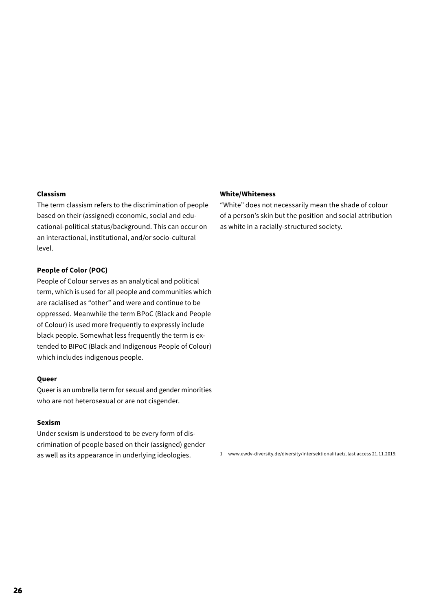#### **Classism**

The term classism refers to the discrimination of people based on their (assigned) economic, social and educational-political status/background. This can occur on an interactional, institutional, and/or socio-cultural level.

#### **People of Color (POC)**

People of Colour serves as an analytical and political term, which is used for all people and communities which are racialised as "other" and were and continue to be oppressed. Meanwhile the term BPoC (Black and People of Colour) is used more frequently to expressly include black people. Somewhat less frequently the term is extended to BIPoC (Black and Indigenous People of Colour) which includes indigenous people.

#### **Queer**

Queer is an umbrella term for sexual and gender minorities who are not heterosexual or are not cisgender.

#### **Sexism**

Under sexism is understood to be every form of discrimination of people based on their (assigned) gender as well as its appearance in underlying ideologies.

#### **White/Whiteness**

"White" does not necessarily mean the shade of colour of a person's skin but the position and social attribution as white in a racially-structured society.

1 www.ewdv-diversity.de/diversity/intersektionalitaet/, last access 21.11.2019.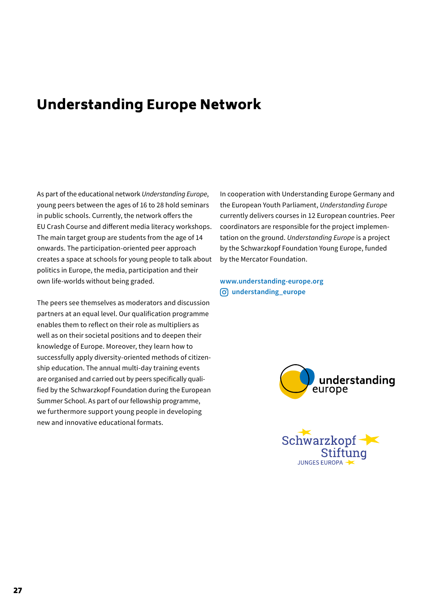## <span id="page-26-0"></span>Understanding Europe Network

As part of the educational network *Understanding Europe*, young peers between the ages of 16 to 28 hold seminars in public schools. Currently, the network offers the EU Crash Course and different media literacy workshops. The main target group are students from the age of 14 onwards. The participation-oriented peer approach creates a space at schools for young people to talk about politics in Europe, the media, participation and their own life-worlds without being graded.

The peers see themselves as moderators and discussion partners at an equal level. Our qualification programme enables them to reflect on their role as multipliers as well as on their societal positions and to deepen their knowledge of Europe. Moreover, they learn how to successfully apply diversity-oriented methods of citizenship education. The annual multi-day training events are organised and carried out by peers specifically qualified by the Schwarzkopf Foundation during the European Summer School. As part of our fellowship programme, we furthermore support young people in developing new and innovative educational formats.

In cooperation with Understanding Europe Germany and the European Youth Parliament, *Understanding Europe*  currently delivers courses in 12 European countries. Peer coordinators are responsible for the project implementation on the ground. *Understanding Europe* is a project by the Schwarzkopf Foundation Young Europe, funded by the Mercator Foundation.

**[www.understanding-europe.org](https://schwarzkopf-stiftung.de/en/seminars/) [understanding\\_europe](https://www.instagram.com/uegermany/?hl=de)**